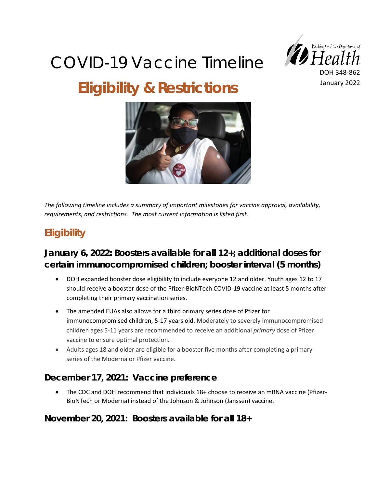# COVID-19 Vaccine Timeline **Eligibility & Restrictions**





*The following timeline includes a summary of important milestones for vaccine approval, availability, requirements, and restrictions. The most current information is listed first.* 

## **Eligibility**

## **January 6, 2022: Boosters available for all 12+; additional doses for certain immunocompromised children; booster interval (5 months)**

- DOH expanded booster dose eligibility to include everyone 12 and older. Youth ages 12 to 17 should receive a booster dose of the Pfizer-BioNTech COVID-19 vaccine at least 5 months after completing their primary vaccination series.
- The amended EUAs also allows for a third primary series dose of Pfizer for immunocompromised children, 5-17 years old. Moderately to severely immunocompromised children ages 5-11 years are recommended to receive an additional *primary* dose of Pfizer vaccine to ensure optimal protection.
- Adults ages 18 and older are eligible for a booster five months after completing a primary series of the Moderna or Pfizer vaccine.

#### **December 17, 2021: [Vaccine preference](https://www.doh.wa.gov/Newsroom/Articles/ID/3014/Pfizer-Moderna-vaccines-now-recommended-over-Johnson-Johnson)**

• The CDC and DOH recommend that individuals 18+ choose to receive an mRNA vaccine (Pfizer-BioNTech or Moderna) instead of the Johnson & Johnson (Janssen) vaccine.

**November 20, 2021: Boosters available for all 18+**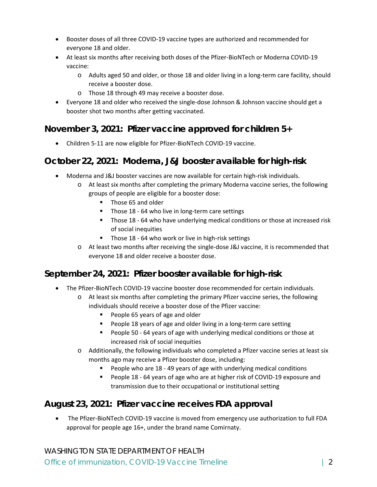- Booster doses of all three COVID-19 vaccine types are authorized and recommended for everyone 18 and older.
- At least six months after receiving both doses of the Pfizer-BioNTech or Moderna COVID-19 vaccine:
	- o Adults aged 50 and older, or those 18 and older living in a long-term care facility, should receive a booster dose.
	- o Those 18 through 49 may receive a booster dose.
- Everyone 18 and older who received the single-dose Johnson & Johnson vaccine should get a booster shot two months after getting vaccinated.

#### **November 3, 2021: Pfizer vaccine approved for children 5+**

• Children 5-11 are now eligible for Pfizer-BioNTech COVID-19 vaccine.

#### **October 22, 2021: Moderna, J&J booster available for high-risk**

- Moderna and J&J booster vaccines are now available for certain high-risk individuals.
	- o At least six months after completing the primary Moderna vaccine series, the following groups of people are eligible for a booster dose:
		- Those 65 and older
		- Those 18 64 who live in long-term care settings
		- Those 18 64 who have underlying medical conditions or those at increased risk of social inequities
		- Those 18 64 who work or live in high-risk settings
	- o At least two months after receiving the single-dose J&J vaccine, it is recommended that everyone 18 and older receive a booster dose.

#### **September 24, 2021: Pfizer booster available for high-risk**

- The Pfizer-BioNTech COVID-19 vaccine booster dose recommended for certain individuals.
	- o At least six months after completing the primary Pfizer vaccine series, the following individuals should receive a booster dose of the Pfizer vaccine:
		- People 65 years of age and older
		- People 18 years of age and older living in a long-term care setting
		- People 50 64 years of age with underlying medical conditions or those at increased risk of social inequities
	- o Additionally, the following individuals who completed a Pfizer vaccine series at least six months ago may receive a Pfizer booster dose, including:
		- People who are 18 49 years of age with underlying medical conditions
		- People 18 64 years of age who are at higher risk of COVID-19 exposure and transmission due to their occupational or institutional setting

#### **August 23, 2021: Pfizer vaccine receives FDA approval**

• The Pfizer-BioNTech COVID-19 vaccine is moved from emergency use authorization to full FDA approval for people age 16+, under the brand name Comirnaty.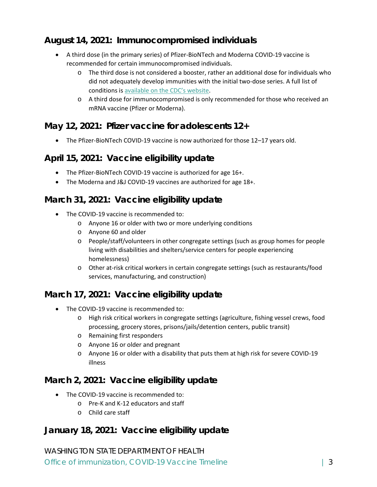#### **August 14, 2021: Immunocompromised individuals**

- A third dose (in the primary series) of Pfizer-BioNTech and Moderna COVID-19 vaccine is recommended for certain immunocompromised individuals.
	- o The third dose is not considered a booster, rather an additional dose for individuals who did not adequately develop immunities with the initial two-dose series. A full list of conditions is [available on the CDC's website](https://www.cdc.gov/vaccines/covid-19/clinical-considerations/covid-19-vaccines-us.html#considerations-covid19-vax-immunocopromised).
	- o A third dose for immunocompromised is only recommended for those who received an mRNA vaccine (Pfizer or Moderna).

#### **May 12, 2021: Pfizer vaccine for adolescents 12+**

• The Pfizer-BioNTech COVID-19 vaccine is now authorized for those 12–17 years old.

#### **April 15, 2021: Vaccine eligibility update**

- The Pfizer-BioNTech COVID-19 vaccine is authorized for age 16+.
- The Moderna and J&J COVID-19 vaccines are authorized for age 18+.

#### **March 31, 2021: Vaccine eligibility update**

- The COVID-19 vaccine is recommended to:
	- o Anyone 16 or older with two or more underlying conditions
	- o Anyone 60 and older
	- o People/staff/volunteers in other congregate settings (such as group homes for people living with disabilities and shelters/service centers for people experiencing homelessness)
	- o Other at-risk critical workers in certain congregate settings (such as restaurants/food services, manufacturing, and construction)

#### **March 17, 2021: Vaccine eligibility update**

- The COVID-19 vaccine is recommended to:
	- o High risk critical workers in congregate settings (agriculture, fishing vessel crews, food processing, grocery stores, prisons/jails/detention centers, public transit)
	- o Remaining first responders
	- o Anyone 16 or older and pregnant
	- o Anyone 16 or older with a disability that puts them at high risk for severe COVID-19 illness

#### **March 2, 2021: Vaccine eligibility update**

- The COVID-19 vaccine is recommended to:
	- o Pre-K and K-12 educators and staff
	- o Child care staff

**January 18, 2021: Vaccine eligibility update** 

WASHINGTON STATE DEPARTMENT OF HEALTH Office of immunization, COVID-19 Vaccine Timeline | 3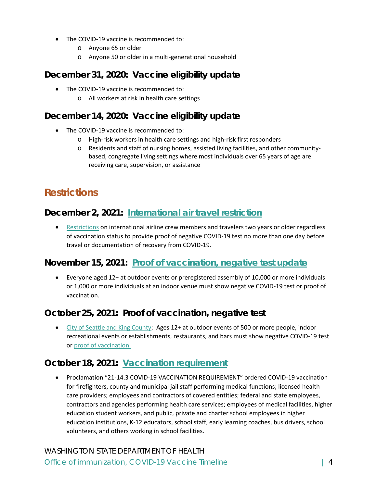- The COVID-19 vaccine is recommended to:
	- o Anyone 65 or older
	- o Anyone 50 or older in a multi-generational household

**December 31, 2020: Vaccine eligibility update** 

- The COVID-19 vaccine is recommended to:
	- o All workers at risk in health care settings

### **December 14, 2020: Vaccine eligibility update**

- The COVID-19 vaccine is recommended to:
	- o High-risk workers in health care settings and high-risk first responders
	- o Residents and staff of nursing homes, assisted living facilities, and other communitybased, congregate living settings where most individuals over 65 years of age are receiving care, supervision, or assistance

## **Restrictions**

#### **December 2, 2021: [International air travel restriction](https://www.governor.wa.gov/sites/default/files/proclamations/proc_20-83.2.pdf)**

• [Restrictions](https://www.cdc.gov/coronavirus/2019-ncov/travelers/testing-international-air-travelers.html) on international airline crew members and travelers two years or older regardless of vaccination status to provide proof of negative COVID-19 test no more than one day before travel or documentation of recovery from COVID-19.

#### **November 15, 2021: [Proof of vaccination, negative test update](https://www.governor.wa.gov/sites/default/files/proclamations/21-16.1%20-%20COVID-19%20-%20Large%20Events%20%28tmp%29.pdf)**

• Everyone aged 12+ at outdoor events or preregistered assembly of 10,000 or more individuals or 1,000 or more individuals at an indoor venue must show negative COVID-19 test or proof of vaccination.

#### **October 25, 2021: Proof of vaccination, negative test**

• [City of Seattle and King County:](https://kingcounty.gov/depts/health.aspx) Ages 12+ at outdoor events of 500 or more people, indoor recreational events or establishments, restaurants, and bars must show negative COVID-19 test or [proof of vaccination.](https://kingcounty.gov/depts/health/covid-19/current-guidance/verify.aspx)

#### **October 18, 2021: [Vaccination requirement](https://www.governor.wa.gov/sites/default/files/proclamations/21-14.3%20-%20COVID-19%20Vax%20WA%20Amendment%20%28tmp%29.pdf)**

• Proclamation "21-14.3 COVID-19 VACCINATION REQUIREMENT" ordered COVID-19 vaccination for firefighters, county and municipal jail staff performing medical functions; licensed health care providers; employees and contractors of covered entities; federal and state employees, contractors and agencies performing health care services; employees of medical facilities, higher education student workers, and public, private and charter school employees in higher education institutions, K-12 educators, school staff, early learning coaches, bus drivers, school volunteers, and others working in school facilities.